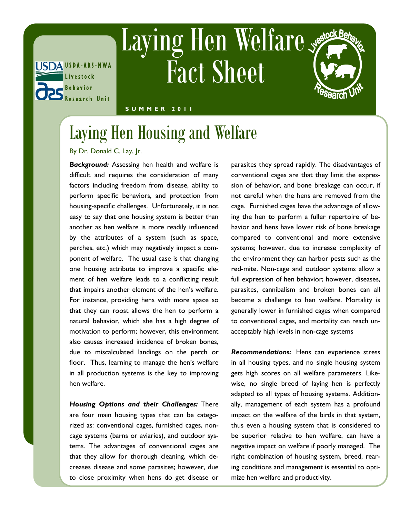

## Laying Hen Welfare Fact Sheet

## **S U M M E R 2 0 1 1**

## Laying Hen Housing and Welfare

By Dr. Donald C. Lay, Jr.

*Background:* Assessing hen health and welfare is difficult and requires the consideration of many factors including freedom from disease, ability to perform specific behaviors, and protection from housing-specific challenges. Unfortunately, it is not easy to say that one housing system is better than another as hen welfare is more readily influenced by the attributes of a system (such as space, perches, etc.) which may negatively impact a component of welfare. The usual case is that changing one housing attribute to improve a specific element of hen welfare leads to a conflicting result that impairs another element of the hen's welfare. For instance, providing hens with more space so that they can roost allows the hen to perform a natural behavior, which she has a high degree of motivation to perform; however, this environment also causes increased incidence of broken bones, due to miscalculated landings on the perch or floor. Thus, learning to manage the hen's welfare in all production systems is the key to improving hen welfare.

*Housing Options and their Challenges:* There are four main housing types that can be categorized as: conventional cages, furnished cages, noncage systems (barns or aviaries), and outdoor systems. The advantages of conventional cages are that they allow for thorough cleaning, which decreases disease and some parasites; however, due to close proximity when hens do get disease or parasites they spread rapidly. The disadvantages of conventional cages are that they limit the expression of behavior, and bone breakage can occur, if not careful when the hens are removed from the cage. Furnished cages have the advantage of allowing the hen to perform a fuller repertoire of behavior and hens have lower risk of bone breakage compared to conventional and more extensive systems; however, due to increase complexity of the environment they can harbor pests such as the red-mite. Non-cage and outdoor systems allow a full expression of hen behavior; however, diseases, parasites, cannibalism and broken bones can all become a challenge to hen welfare. Mortality is generally lower in furnished cages when compared to conventional cages, and mortality can reach unacceptably high levels in non-cage systems

*Recommendations:* Hens can experience stress in all housing types, and no single housing system gets high scores on all welfare parameters. Likewise, no single breed of laying hen is perfectly adapted to all types of housing systems. Additionally, management of each system has a profound impact on the welfare of the birds in that system, thus even a housing system that is considered to be superior relative to hen welfare, can have a negative impact on welfare if poorly managed. The right combination of housing system, breed, rearing conditions and management is essential to optimize hen welfare and productivity.